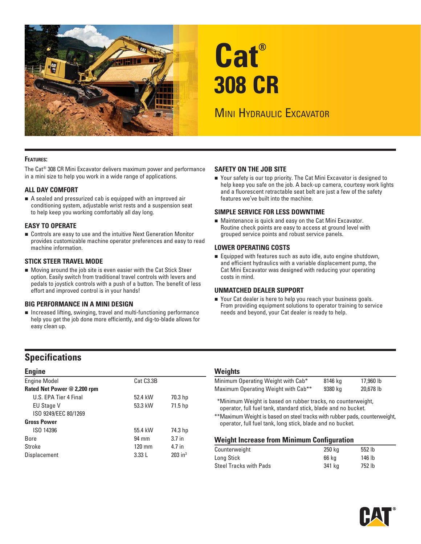

# **Cat® 308 CR**

# **MINI HYDRAULIC EXCAVATOR**

#### **FEATURES:**

The Cat® 308 CR Mini Excavator delivers maximum power and performance in a mini size to help you work in a wide range of applications.

#### **ALL DAY COMFORT**

 A sealed and pressurized cab is equipped with an improved air conditioning system, adjustable wrist rests and a suspension seat to help keep you working comfortably all day long.

#### **EASY TO OPERATE**

 Controls are easy to use and the intuitive Next Generation Monitor provides customizable machine operator preferences and easy to read machine information.

#### **STICK STEER TRAVEL MODE**

 Moving around the job site is even easier with the Cat Stick Steer option. Easily switch from traditional travel controls with levers and pedals to joystick controls with a push of a button. The benefit of less effort and improved control is in your hands!

#### **BIG PERFORMANCE IN A MINI DESIGN**

 Increased lifting, swinging, travel and multi-functioning performance help you get the job done more efficiently, and dig-to-blade allows for easy clean up.

#### **SAFETY ON THE JOB SITE**

■ Your safety is our top priority. The Cat Mini Excavator is designed to help keep you safe on the job. A back-up camera, courtesy work lights and a fluorescent retractable seat belt are just a few of the safety features we've built into the machine.

#### **SIMPLE SERVICE FOR LESS DOWNTIME**

 Maintenance is quick and easy on the Cat Mini Excavator. Routine check points are easy to access at ground level with grouped service points and robust service panels.

#### **LOWER OPERATING COSTS**

 Equipped with features such as auto idle, auto engine shutdown, and efficient hydraulics with a variable displacement pump, the Cat Mini Excavator was designed with reducing your operating costs in mind.

#### **UNMATCHED DEALER SUPPORT**

■ Your Cat dealer is here to help you reach your business goals. From providing equipment solutions to operator training to service needs and beyond, your Cat dealer is ready to help.

## **Specifications**

| <b>Engine</b>               |                        |                       |  |  |  |
|-----------------------------|------------------------|-----------------------|--|--|--|
| <b>Engine Model</b>         | Cat C <sub>3.3</sub> B |                       |  |  |  |
| Rated Net Power @ 2,200 rpm |                        |                       |  |  |  |
| U.S. FPA Tier 4 Final       | 52.4 kW                | 70.3 hp               |  |  |  |
| <b>EU Stage V</b>           | 53.3 kW                | 71.5 hp               |  |  |  |
| ISO 9249/EEC 80/1269        |                        |                       |  |  |  |
| <b>Gross Power</b>          |                        |                       |  |  |  |
| ISO 14396                   | 55.4 kW                | 74.3 hp               |  |  |  |
| Bore                        | 94 mm                  | 3.7 <sub>in</sub>     |  |  |  |
| Stroke                      | $120 \text{ mm}$       | 4.7 in                |  |  |  |
| Displacement                | 3.33L                  | $203$ in <sup>3</sup> |  |  |  |

#### **Weights**

| Minimum Operating Weight with Cab*              | 8146 kg | 17,960 lb |
|-------------------------------------------------|---------|-----------|
| Maximum Operating Weight with Cab <sup>**</sup> | 9380 kg | 20.678 lb |

\* \*Minimum Weight is based on rubber tracks, no counterweight, operator, full fuel tank, standard stick, blade and no bucket.

\*\*Maximum Weight is based on steel tracks with rubber pads, counterweight, operator, full fuel tank, long stick, blade and no bucket.

#### **Weight Increase from Minimum Configuration**

| 250 ka | 552 lb |  |
|--------|--------|--|
| 66 ka  | 146 lb |  |
| 341 ka | 752 lb |  |
|        |        |  |

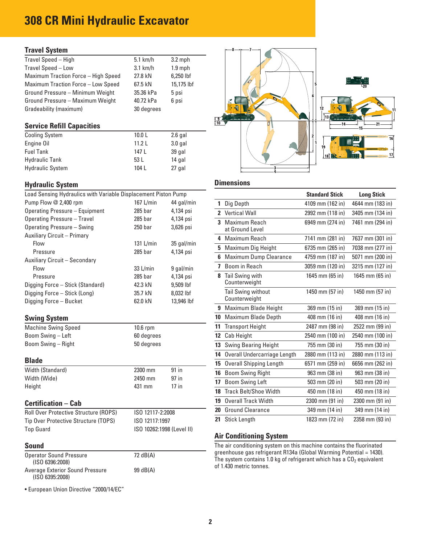# **308 CR Mini Hydraulic Excavator**

#### **Travel System**

| $5.1$ km/h | $3.2$ mph  |
|------------|------------|
| $3.1$ km/h | $1.9$ mph  |
| 27.8 kN    | 6,250 lbf  |
| 67.5 kN    | 15,175 lbf |
| 35.36 kPa  | 5 psi      |
| 40.72 kPa  | 6 psi      |
| 30 degrees |            |
|            |            |

#### **Service Refill Capacities**

| <b>Cooling System</b>   | 10.0 <sub>L</sub> | $2.6$ gal |
|-------------------------|-------------------|-----------|
| Engine Oil              | 11.21             | $3.0$ gal |
| <b>Fuel Tank</b>        | 147 L             | 39 gal    |
| <b>Hydraulic Tank</b>   | 53 L              | 14 gal    |
| <b>Hydraulic System</b> | 104 L             | 27 gal    |

### **Hydraulic System Community Community Community Community Community Community Community Community Community Community**

| Load Sensing Hydraulics with Variable Displacement Piston Pump |                           |                         |    |                                                                                                                                               | <b>Standard Stick</b> | <b>Long Stick</b> |  |
|----------------------------------------------------------------|---------------------------|-------------------------|----|-----------------------------------------------------------------------------------------------------------------------------------------------|-----------------------|-------------------|--|
| Pump Flow @ 2,400 rpm                                          | 167 $L/min$               | 44 gal/min              |    | 1 Dig Depth                                                                                                                                   | 4109 mm (162 in)      | 4644 mm (183      |  |
| <b>Operating Pressure - Equipment</b>                          | 285 <sub>bar</sub>        | 4,134 psi               |    | 2 Vertical Wall                                                                                                                               | 2992 mm (118 in)      | 3405 mm (134      |  |
| <b>Operating Pressure - Travel</b>                             | $285$ bar                 | 4,134 psi               |    | 3 Maximum Reach                                                                                                                               | 6949 mm (274 in)      | 7461 mm (294      |  |
| <b>Operating Pressure - Swing</b>                              | 250 <sub>bar</sub>        | 3,626 psi               |    | at Ground Level                                                                                                                               |                       |                   |  |
| Auxiliary Circuit - Primary                                    |                           |                         |    | 4 Maximum Reach                                                                                                                               | 7141 mm (281 in)      | 7637 mm (301      |  |
| Flow                                                           | 131 L/min                 | 35 gal/min              |    | 5 Maximum Dig Height                                                                                                                          | 6735 mm (265 in)      | 7038 mm (277      |  |
| Pressure                                                       | 285 bar                   | 4,134 psi               |    | 6 Maximum Dump Clearance                                                                                                                      | 4759 mm (187 in)      | 5071 mm (200      |  |
| Auxiliary Circuit - Secondary                                  |                           |                         |    | 7 Boom in Reach                                                                                                                               | 3059 mm (120 in)      | 3215 mm (127      |  |
| Flow                                                           | 33 L/min                  | 9 gal/min               |    |                                                                                                                                               |                       |                   |  |
| Pressure                                                       | 285 <sub>bar</sub>        | 4,134 psi               |    | 8 Tail Swing with<br>Counterweight                                                                                                            | 1645 mm (65 in)       | 1645 mm (65 i     |  |
| Digging Force - Stick (Standard)                               | 42.3 kN                   | 9,509 lbf               |    | Tail Swing without                                                                                                                            | 1450 mm (57 in)       | 1450 mm (57 i     |  |
| Digging Force - Stick (Long)<br>Digging Force - Bucket         | 35.7 kN<br>62.0 kN        | 8,032 lbf<br>13,946 lbf |    | Counterweight                                                                                                                                 |                       |                   |  |
|                                                                |                           |                         |    | 9 Maximum Blade Height                                                                                                                        | 369 mm (15 in)        | 369 mm (15 ir     |  |
| <b>Swing System</b>                                            |                           |                         |    | 10 Maximum Blade Depth                                                                                                                        | 408 mm (16 in)        | 408 mm (16 in     |  |
| <b>Machine Swing Speed</b>                                     | 10.6 rpm                  |                         |    | 11 Transport Height                                                                                                                           | 2487 mm (98 in)       | 2522 mm (99 i     |  |
| Boom Swing - Left                                              | 60 degrees                |                         |    | 12 Cab Height                                                                                                                                 | 2540 mm (100 in)      | 2540 mm (100      |  |
| Boom Swing - Right                                             | 50 degrees                |                         |    | 13 Swing Bearing Height                                                                                                                       | 755 mm (30 in)        | 755 mm (30 ir     |  |
|                                                                |                           |                         |    | 14 Overall Undercarriage Length                                                                                                               | 2880 mm (113 in)      | 2880 mm (113      |  |
| <b>Blade</b>                                                   |                           |                         |    | 15 Overall Shipping Length                                                                                                                    | 6571 mm (259 in)      | 6656 mm (262      |  |
| Width (Standard)                                               | 2300 mm                   | 91 in                   |    | 16 Boom Swing Right                                                                                                                           | 963 mm (38 in)        | 963 mm (38 ir     |  |
| Width (Wide)                                                   | 2450 mm                   | 97 in                   |    | 17 Boom Swing Left                                                                                                                            | 503 mm (20 in)        | 503 mm (20 ir     |  |
| Height                                                         | 431 mm                    | $17$ in                 |    | 18 Track Belt/Shoe Width                                                                                                                      | 450 mm (18 in)        | 450 mm (18 ir     |  |
| <b>Certification – Cab</b>                                     |                           |                         | 19 | <b>Overall Track Width</b>                                                                                                                    | 2300 mm (91 in)       | 2300 mm (91 i     |  |
| <b>Roll Over Protective Structure (ROPS)</b>                   | ISO 12117-2:2008          |                         |    | 20 Ground Clearance                                                                                                                           | 349 mm (14 in)        | 349 mm (14 ir     |  |
| Tip Over Protective Structure (TOPS)                           | ISO 12117:1997            |                         |    | 21 Stick Length                                                                                                                               | 1823 mm (72 in)       | 2358 mm (93 i     |  |
| <b>Top Guard</b>                                               | ISO 10262:1998 (Level II) |                         |    |                                                                                                                                               |                       |                   |  |
|                                                                |                           |                         |    | <b>Air Conditioning System</b>                                                                                                                |                       |                   |  |
| <b>Sound</b>                                                   |                           |                         |    | The air conditioning system on this machine contains the fluorinated                                                                          |                       |                   |  |
| <b>Operator Sound Pressure</b><br>(ISO 6396:2008)              | 72 dB(A)                  |                         |    | greenhouse gas refrigerant R134a (Global Warming Potential = 1430).<br>The system contains 1.0 kg of refrigerant which has a $CO2$ equivalent |                       |                   |  |
| <b>Average Exterior Sound Pressure</b><br>(ISO 6395:2008)      | 99 dB(A)                  |                         |    | of 1.430 metric tonnes.                                                                                                                       |                       |                   |  |

• European Union Directive "2000/14/EC"



| Load Sensing Hydraulics with Variable Displacement Piston Pump |                    |            |                  |                                | <b>Standard Stick</b> | <b>Long Stick</b> |
|----------------------------------------------------------------|--------------------|------------|------------------|--------------------------------|-----------------------|-------------------|
| Pump Flow @ 2,400 rpm                                          | 167 L/min          | 44 gal/min | $\mathbf{1}$     | Dig Depth                      | 4109 mm (162 in)      | 4644 mm (183 in)  |
| Operating Pressure - Equipment                                 | $285$ bar          | 4,134 psi  |                  | 2 Vertical Wall                | 2992 mm (118 in)      | 3405 mm (134 in)  |
| Operating Pressure - Travel                                    | $285$ bar          | 4,134 psi  |                  | 3 Maximum Reach                | 6949 mm (274 in)      | 7461 mm (294 in)  |
| Operating Pressure - Swing                                     | 250 <sub>bar</sub> | 3,626 psi  |                  | at Ground Level                |                       |                   |
| <b>Auxiliary Circuit - Primary</b>                             |                    |            |                  | 4 Maximum Reach                | 7141 mm (281 in)      | 7637 mm (301 in)  |
| Flow                                                           | $131$ L/min        | 35 gal/min |                  | 5 Maximum Dig Height           | 6735 mm (265 in)      | 7038 mm (277 in)  |
| Pressure                                                       | $285$ bar          | 4,134 psi  |                  | 6 Maximum Dump Clearance       | 4759 mm (187 in)      | 5071 mm (200 in)  |
| Auxiliary Circuit - Secondary<br>Flow                          | 33 L/min           | 9 gal/min  |                  | 7 Boom in Reach                | 3059 mm (120 in)      | 3215 mm (127 in)  |
| Pressure                                                       | $285$ bar          | 4,134 psi  |                  | 8 Tail Swing with              | 1645 mm (65 in)       | 1645 mm (65 in)   |
| Digging Force - Stick (Standard)                               | 42.3 kN            | 9,509 lbf  |                  | Counterweight                  |                       |                   |
| Digging Force - Stick (Long)                                   | 35.7 kN            | 8,032 lbf  |                  | Tail Swing without             | 1450 mm (57 in)       | 1450 mm (57 in)   |
| Digging Force – Bucket                                         | 62.0 kN            | 13,946 lbf |                  | Counterweight                  |                       |                   |
|                                                                |                    |            |                  | 9 Maximum Blade Height         | 369 mm (15 in)        | 369 mm (15 in)    |
| <b>Swing System</b>                                            |                    |            |                  | 10 Maximum Blade Depth         | 408 mm (16 in)        | 408 mm (16 in)    |
| <b>Machine Swing Speed</b>                                     | 10.6 rpm           |            |                  | 11 Transport Height            | 2487 mm (98 in)       | 2522 mm (99 in)   |
| Boom Swing - Left                                              | 60 degrees         |            |                  | 12 Cab Height                  | 2540 mm (100 in)      | 2540 mm (100 in)  |
| Boom Swing - Right                                             | 50 degrees         |            |                  | 13 Swing Bearing Height        | 755 mm (30 in)        | 755 mm (30 in)    |
|                                                                |                    |            | 14               | Overall Undercarriage Length   | 2880 mm (113 in)      | 2880 mm (113 in)  |
| <b>Blade</b>                                                   |                    |            | 15               | <b>Overall Shipping Length</b> | 6571 mm (259 in)      | 6656 mm (262 in)  |
| Width (Standard)                                               | 2300 mm            | $91$ in    | 16               | <b>Boom Swing Right</b>        | 963 mm (38 in)        | 963 mm (38 in)    |
| Width (Wide)                                                   | 2450 mm            | 97 in      | 17 <sup>17</sup> | <b>Boom Swing Left</b>         | 503 mm (20 in)        | 503 mm (20 in)    |
| Height                                                         | 431 mm             | $17$ in    | 18               | Track Belt/Shoe Width          | 450 mm (18 in)        | 450 mm (18 in)    |
| <b>Certification - Cab</b>                                     |                    |            | 19               | <b>Overall Track Width</b>     | 2300 mm (91 in)       | 2300 mm (91 in)   |
| <b>Roll Over Protective Structure (ROPS)</b>                   | ISO 12117-2:2008   |            | 20               | <b>Ground Clearance</b>        | 349 mm (14 in)        | 349 mm (14 in)    |
| Tip Over Protective Structure (TOPS)                           | ISO 12117:1997     |            |                  | 21 Stick Length                | 1823 mm (72 in)       | 2358 mm (93 in)   |
|                                                                |                    |            |                  |                                |                       |                   |

#### **Air Conditioning System**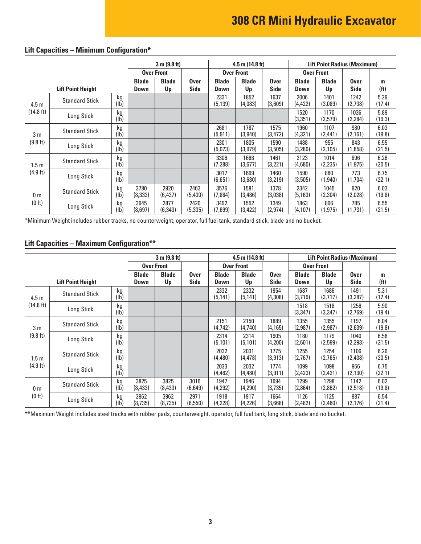# **308 CR Mini Hydraulic Excavator**

|                          |                       | 3 m (9.8 ft)                |                    |                            | $4.5$ m $(14.8)$ ft)        |                    |                 | <b>Lift Point Radius (Maximum)</b> |                    |                            |                        |                |
|--------------------------|-----------------------|-----------------------------|--------------------|----------------------------|-----------------------------|--------------------|-----------------|------------------------------------|--------------------|----------------------------|------------------------|----------------|
|                          |                       | <b>Over Front</b>           |                    |                            | <b>Over Front</b>           |                    |                 | <b>Over Front</b>                  |                    |                            |                        |                |
| <b>Lift Point Height</b> |                       | <b>Blade</b><br><b>Down</b> | <b>Blade</b><br>Up | <b>Over</b><br><b>Side</b> | <b>Blade</b><br><b>Down</b> | <b>Blade</b><br>Up | Over<br>Side    | <b>Blade</b><br>Down               | <b>Blade</b><br>Up | <b>Over</b><br><b>Side</b> | m<br>(f <sup>t</sup> ) |                |
| 4.5 <sub>m</sub>         | <b>Standard Stick</b> | kg<br>(Ib)                  |                    |                            |                             | 2331<br>(5, 139)   | 1852<br>(4,083) | 1637<br>(3,609)                    | 2006<br>(4,422)    | 1401<br>(3,089)            | 1242<br>(2,738)        | 5.29<br>(17.4) |
| (14.8 ft)                | Long Stick            | kg<br>(1b)                  |                    |                            |                             |                    |                 |                                    | 1520<br>(3,351)    | 1170<br>(2,579)            | 1036<br>(2, 284)       | 5.89<br>(19.3) |
| 3 m                      | <b>Standard Stick</b> | kg<br>(1b)                  |                    |                            |                             | 2681<br>(5, 911)   | 1787<br>(3,940) | 1575<br>(3, 472)                   | 1960<br>(4, 321)   | 1107<br>(2,441)            | 980<br>(2, 161)        | 6.03<br>(19.8) |
| (9.8 ft)                 | Long Stick            | kg<br>(lb)                  |                    |                            |                             | 2301<br>(5,073)    | 1805<br>(3,979) | 1590<br>(3,505)                    | 1488<br>(3,280)    | 955<br>(2,105)             | 843<br>(1,858)         | 6.55<br>(21.5) |
| 1.5m                     | <b>Standard Stick</b> | kg<br>(1b)                  |                    |                            |                             | 3306<br>(7, 288)   | 1668<br>(3,677) | 1461<br>(3,221)                    | 2123<br>(4,680)    | 1014<br>(2,235)            | 896<br>(1, 975)        | 6.26<br>(20.5) |
| $(4.9 \text{ ft})$       | Long Stick            | kg<br>(1b)                  |                    |                            |                             | 3017<br>(6,651)    | 1669<br>(3,680) | 1460<br>(3,219)                    | 1590<br>(3,505)    | 880<br>(1,940)             | 773<br>(1,704)         | 6.75<br>(22.1) |
| 0 <sub>m</sub><br>(0 ft) | <b>Standard Stick</b> | kg<br>(lb)                  | 3780<br>(8,333)    | 2920<br>(6, 437)           | 2463<br>(5,430)             | 3576<br>(7,884)    | 1581<br>(3,486) | 1378<br>(3,038)                    | 2342<br>(5, 163)   | 1045<br>(2,304)            | 920<br>(2,028)         | 6.03<br>(19.8) |
|                          | Long Stick            | kg<br>(Ib)                  | 3945<br>(8,697)    | 2877<br>(6, 343)           | 2420<br>(5, 335)            | 3492<br>(7,699)    | 1552<br>(3,422) | 1349<br>(2, 974)                   | 1863<br>(4,107)    | 896<br>(1,975)             | 785<br>(1,731)         | 6.55<br>(21.5) |

#### **Lift Capacities – Minimum Configuration\***

\*Minimum Weight includes rubber tracks, no counterweight, operator, full fuel tank, standard stick, blade and no bucket.

#### **Lift Capacities – Maximum Configuration\*\***

|                          |                       |                      | 3 m (9.8 ft)       |                     |                      |                    | $4.5$ m $(14.8)$ ft)       |                      | <b>Lift Point Radius (Maximum)</b> |                            |                        |                |
|--------------------------|-----------------------|----------------------|--------------------|---------------------|----------------------|--------------------|----------------------------|----------------------|------------------------------------|----------------------------|------------------------|----------------|
|                          |                       | <b>Over Front</b>    |                    |                     |                      | <b>Over Front</b>  |                            | <b>Over Front</b>    |                                    |                            |                        |                |
| <b>Lift Point Height</b> |                       | <b>Blade</b><br>Down | <b>Blade</b><br>Up | <b>Over</b><br>Side | <b>Blade</b><br>Down | <b>Blade</b><br>Up | <b>Over</b><br><b>Side</b> | <b>Blade</b><br>Down | <b>Blade</b><br>Up                 | <b>Over</b><br><b>Side</b> | m<br>(f <sup>t</sup> ) |                |
| 4.5 <sub>m</sub>         | <b>Standard Stick</b> | kg<br>(1b)           |                    |                     |                      | 2332<br>(5, 141)   | 2332<br>(5, 141)           | 1954<br>(4,308)      | 1687<br>(3,719)                    | 1686<br>(3,717)            | 1491<br>(3, 287)       | 5.31<br>(17.4) |
| (14.8 ft)                | Long Stick            | kg<br>(lb)           |                    |                     |                      |                    |                            |                      | 1518<br>(3,347)                    | 1518<br>(3, 347)           | 1256<br>(2,769)        | 5.90<br>(19.4) |
| 3 <sub>m</sub>           | <b>Standard Stick</b> | kg<br>(Ib)           |                    |                     |                      | 2151<br>(4, 742)   | 2150<br>(4,740)            | 1889<br>(4, 165)     | 1355<br>(2,987)                    | 1355<br>(2,987)            | 1197<br>(2,639)        | 6.04<br>(19.8) |
| (9.8 ft)                 | Long Stick            | kg<br>(1b)           |                    |                     |                      | 2314<br>(5, 101)   | 2314<br>(5, 101)           | 1905<br>(4,200)      | 1180<br>(2,601)                    | 1179<br>(2,599)            | 1040<br>(2,293)        | 6.56<br>(21.5) |
| 1.5 m                    | <b>Standard Stick</b> | kg<br>(lb)           |                    |                     |                      | 2032<br>(4, 480)   | 2031<br>(4,478)            | 1775<br>(3, 913)     | 1255<br>(2,767)                    | 1254<br>(2,765)            | 1106<br>(2,438)        | 6.26<br>(20.5) |
| (4.9 ft)                 | Long Stick            | kg<br>(1b)           |                    |                     |                      | 2033<br>(4,482)    | 2032<br>(4,480)            | 1774<br>(3, 911)     | 1099<br>(2,423)                    | 1098<br>(2,421)            | 966<br>(2, 130)        | 6.75<br>(22.1) |
| 0 <sub>m</sub><br>(0 ft) | <b>Standard Stick</b> | kg<br>(Ib)           | 3825<br>(8, 433)   | 3825<br>(8, 433)    | 3016<br>(6,649)      | 1947<br>(4,292)    | 1946<br>(4,290)            | 1694<br>(3,735)      | 1299<br>(2,864)                    | 1298<br>(2,862)            | 1142<br>(2,518)        | 6.02<br>(19.8) |
|                          | Long Stick            | kg<br>(lb)           | 3962<br>(8,735)    | 3962<br>(8,735)     | 2971<br>(6, 550)     | 1918<br>(4,228)    | 1917<br>(4,226)            | 1664<br>(3,668)      | 1126<br>(2, 482)                   | 1125<br>(2,480)            | 987<br>(2, 176)        | 6.54<br>(21.4) |

\*\* Maximum Weight includes steel tracks with rubber pads, counterweight, operator, full fuel tank, long stick, blade and no bucket.